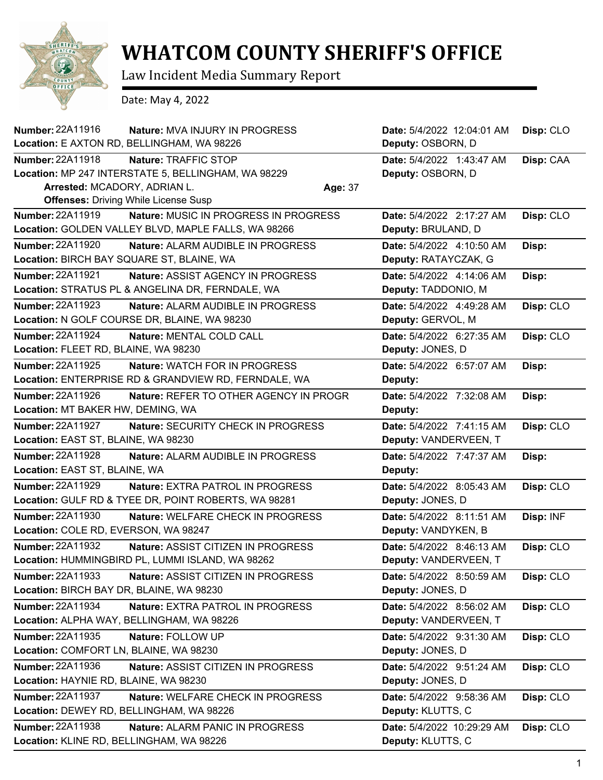

## **WHATCOM COUNTY SHERIFF'S OFFICE**

Law Incident Media Summary Report

Date: May 4, 2022

| Number: 22A11916<br>Nature: MVA INJURY IN PROGRESS                 | Date: 5/4/2022 12:04:01 AM | Disp: CLO |
|--------------------------------------------------------------------|----------------------------|-----------|
| Location: E AXTON RD, BELLINGHAM, WA 98226                         | Deputy: OSBORN, D          |           |
| Number: 22A11918<br>Nature: TRAFFIC STOP                           | Date: 5/4/2022 1:43:47 AM  | Disp: CAA |
| Location: MP 247 INTERSTATE 5, BELLINGHAM, WA 98229                | Deputy: OSBORN, D          |           |
| Arrested: MCADORY, ADRIAN L.<br>Age: 37                            |                            |           |
| <b>Offenses: Driving While License Susp</b>                        |                            |           |
| <b>Number: 22A11919</b><br>Nature: MUSIC IN PROGRESS IN PROGRESS   | Date: 5/4/2022 2:17:27 AM  | Disp: CLO |
| Location: GOLDEN VALLEY BLVD, MAPLE FALLS, WA 98266                | Deputy: BRULAND, D         |           |
| Number: 22A11920<br>Nature: ALARM AUDIBLE IN PROGRESS              | Date: 5/4/2022 4:10:50 AM  | Disp:     |
| Location: BIRCH BAY SQUARE ST, BLAINE, WA                          | Deputy: RATAYCZAK, G       |           |
| Number: 22A11921<br><b>Nature: ASSIST AGENCY IN PROGRESS</b>       | Date: 5/4/2022 4:14:06 AM  | Disp:     |
| Location: STRATUS PL & ANGELINA DR, FERNDALE, WA                   | Deputy: TADDONIO, M        |           |
| Number: 22A11923<br>Nature: ALARM AUDIBLE IN PROGRESS              | Date: 5/4/2022 4:49:28 AM  | Disp: CLO |
| Location: N GOLF COURSE DR, BLAINE, WA 98230                       | Deputy: GERVOL, M          |           |
| Number: 22A11924<br>Nature: MENTAL COLD CALL                       | Date: 5/4/2022 6:27:35 AM  | Disp: CLO |
| Location: FLEET RD, BLAINE, WA 98230                               | Deputy: JONES, D           |           |
| Number: 22A11925<br><b>Nature: WATCH FOR IN PROGRESS</b>           | Date: 5/4/2022 6:57:07 AM  | Disp:     |
| Location: ENTERPRISE RD & GRANDVIEW RD, FERNDALE, WA               | Deputy:                    |           |
| <b>Number: 22A11926</b><br>Nature: REFER TO OTHER AGENCY IN PROGR  | Date: 5/4/2022 7:32:08 AM  | Disp:     |
| Location: MT BAKER HW, DEMING, WA                                  | Deputy:                    |           |
| <b>Number: 22A11927</b><br>Nature: SECURITY CHECK IN PROGRESS      | Date: 5/4/2022 7:41:15 AM  | Disp: CLO |
| Location: EAST ST, BLAINE, WA 98230                                | Deputy: VANDERVEEN, T      |           |
| <b>Number: 22A11928</b><br>Nature: ALARM AUDIBLE IN PROGRESS       | Date: 5/4/2022 7:47:37 AM  | Disp:     |
| Location: EAST ST, BLAINE, WA                                      | Deputy:                    |           |
| <b>Number: 22A11929</b><br><b>Nature: EXTRA PATROL IN PROGRESS</b> | Date: 5/4/2022 8:05:43 AM  | Disp: CLO |
| Location: GULF RD & TYEE DR, POINT ROBERTS, WA 98281               | Deputy: JONES, D           |           |
| Number: 22A11930<br>Nature: WELFARE CHECK IN PROGRESS              | Date: 5/4/2022 8:11:51 AM  | Disp: INF |
| Location: COLE RD, EVERSON, WA 98247                               | Deputy: VANDYKEN, B        |           |
| <b>Number: 22A11932</b><br>Nature: ASSIST CITIZEN IN PROGRESS      | Date: 5/4/2022 8:46:13 AM  | Disp: CLO |
| Location: HUMMINGBIRD PL, LUMMI ISLAND, WA 98262                   | Deputy: VANDERVEEN, T      |           |
| Number: 22A11933<br>Nature: ASSIST CITIZEN IN PROGRESS             | Date: 5/4/2022 8:50:59 AM  | Disp: CLO |
| Location: BIRCH BAY DR, BLAINE, WA 98230                           | Deputy: JONES, D           |           |
| Number: 22A11934<br>Nature: EXTRA PATROL IN PROGRESS               | Date: 5/4/2022 8:56:02 AM  | Disp: CLO |
| Location: ALPHA WAY, BELLINGHAM, WA 98226                          | Deputy: VANDERVEEN, T      |           |
| Number: 22A11935<br>Nature: FOLLOW UP                              | Date: 5/4/2022 9:31:30 AM  | Disp: CLO |
| Location: COMFORT LN, BLAINE, WA 98230                             | Deputy: JONES, D           |           |
| Number: 22A11936<br>Nature: ASSIST CITIZEN IN PROGRESS             | Date: 5/4/2022 9:51:24 AM  | Disp: CLO |
| Location: HAYNIE RD, BLAINE, WA 98230                              | Deputy: JONES, D           |           |
| <b>Number: 22A11937</b><br>Nature: WELFARE CHECK IN PROGRESS       | Date: 5/4/2022 9:58:36 AM  | Disp: CLO |
| Location: DEWEY RD, BELLINGHAM, WA 98226                           | Deputy: KLUTTS, C          |           |
| Number: 22A11938<br>Nature: ALARM PANIC IN PROGRESS                | Date: 5/4/2022 10:29:29 AM | Disp: CLO |
| Location: KLINE RD, BELLINGHAM, WA 98226                           | Deputy: KLUTTS, C          |           |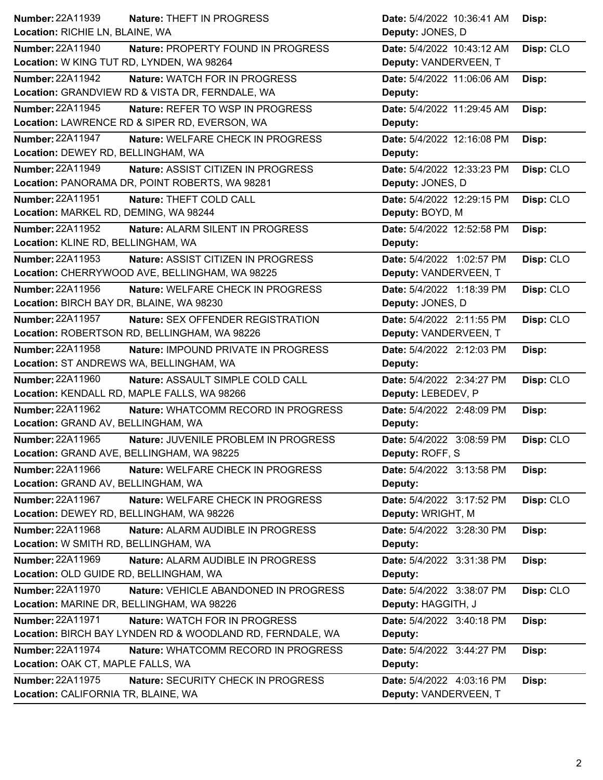| Number: 22A11939                          | <b>Nature: THEFT IN PROGRESS</b>                          | Date: 5/4/2022 10:36:41 AM | Disp:     |
|-------------------------------------------|-----------------------------------------------------------|----------------------------|-----------|
| Location: RICHIE LN, BLAINE, WA           |                                                           | Deputy: JONES, D           |           |
| <b>Number: 22A11940</b>                   | Nature: PROPERTY FOUND IN PROGRESS                        | Date: 5/4/2022 10:43:12 AM | Disp: CLO |
| Location: W KING TUT RD, LYNDEN, WA 98264 |                                                           | Deputy: VANDERVEEN, T      |           |
| <b>Number: 22A11942</b>                   | Nature: WATCH FOR IN PROGRESS                             | Date: 5/4/2022 11:06:06 AM | Disp:     |
|                                           | Location: GRANDVIEW RD & VISTA DR, FERNDALE, WA           | Deputy:                    |           |
| <b>Number: 22A11945</b>                   | Nature: REFER TO WSP IN PROGRESS                          | Date: 5/4/2022 11:29:45 AM | Disp:     |
|                                           | Location: LAWRENCE RD & SIPER RD, EVERSON, WA             | Deputy:                    |           |
| <b>Number: 22A11947</b>                   | Nature: WELFARE CHECK IN PROGRESS                         | Date: 5/4/2022 12:16:08 PM | Disp:     |
| Location: DEWEY RD, BELLINGHAM, WA        |                                                           | Deputy:                    |           |
| Number: 22A11949                          | Nature: ASSIST CITIZEN IN PROGRESS                        | Date: 5/4/2022 12:33:23 PM | Disp: CLO |
|                                           | Location: PANORAMA DR, POINT ROBERTS, WA 98281            | Deputy: JONES, D           |           |
| Number: 22A11951                          | Nature: THEFT COLD CALL                                   | Date: 5/4/2022 12:29:15 PM | Disp: CLO |
| Location: MARKEL RD, DEMING, WA 98244     |                                                           | Deputy: BOYD, M            |           |
| <b>Number: 22A11952</b>                   | Nature: ALARM SILENT IN PROGRESS                          | Date: 5/4/2022 12:52:58 PM | Disp:     |
| Location: KLINE RD, BELLINGHAM, WA        |                                                           | Deputy:                    |           |
| <b>Number: 22A11953</b>                   | <b>Nature: ASSIST CITIZEN IN PROGRESS</b>                 | Date: 5/4/2022 1:02:57 PM  | Disp: CLO |
|                                           | Location: CHERRYWOOD AVE, BELLINGHAM, WA 98225            | Deputy: VANDERVEEN, T      |           |
| Number: 22A11956                          | Nature: WELFARE CHECK IN PROGRESS                         | Date: 5/4/2022 1:18:39 PM  | Disp: CLO |
| Location: BIRCH BAY DR, BLAINE, WA 98230  |                                                           | Deputy: JONES, D           |           |
| <b>Number: 22A11957</b>                   | Nature: SEX OFFENDER REGISTRATION                         | Date: 5/4/2022 2:11:55 PM  | Disp: CLO |
|                                           | Location: ROBERTSON RD, BELLINGHAM, WA 98226              | Deputy: VANDERVEEN, T      |           |
| Number: 22A11958                          | Nature: IMPOUND PRIVATE IN PROGRESS                       | Date: 5/4/2022 2:12:03 PM  | Disp:     |
| Location: ST ANDREWS WA, BELLINGHAM, WA   |                                                           | Deputy:                    |           |
| <b>Number: 22A11960</b>                   | Nature: ASSAULT SIMPLE COLD CALL                          | Date: 5/4/2022 2:34:27 PM  | Disp: CLO |
|                                           | Location: KENDALL RD, MAPLE FALLS, WA 98266               | Deputy: LEBEDEV, P         |           |
| Number: 22A11962                          | Nature: WHATCOMM RECORD IN PROGRESS                       | Date: 5/4/2022 2:48:09 PM  | Disp:     |
| Location: GRAND AV, BELLINGHAM, WA        |                                                           | Deputy:                    |           |
| Number: 22A11965                          | Nature: JUVENILE PROBLEM IN PROGRESS                      | Date: 5/4/2022 3:08:59 PM  | Disp: CLO |
|                                           | Location: GRAND AVE, BELLINGHAM, WA 98225                 | Deputy: ROFF, S            |           |
| Number: 22A11966                          | Nature: WELFARE CHECK IN PROGRESS                         | Date: 5/4/2022 3:13:58 PM  | Disp:     |
| Location: GRAND AV, BELLINGHAM, WA        |                                                           | Deputy:                    |           |
| Number: 22A11967                          | Nature: WELFARE CHECK IN PROGRESS                         | Date: 5/4/2022 3:17:52 PM  | Disp: CLO |
| Location: DEWEY RD, BELLINGHAM, WA 98226  |                                                           | Deputy: WRIGHT, M          |           |
| Number: 22A11968                          | Nature: ALARM AUDIBLE IN PROGRESS                         | Date: 5/4/2022 3:28:30 PM  | Disp:     |
| Location: W SMITH RD, BELLINGHAM, WA      |                                                           | Deputy:                    |           |
| Number: 22A11969                          | Nature: ALARM AUDIBLE IN PROGRESS                         | Date: 5/4/2022 3:31:38 PM  | Disp:     |
| Location: OLD GUIDE RD, BELLINGHAM, WA    |                                                           | Deputy:                    |           |
| <b>Number: 22A11970</b>                   | Nature: VEHICLE ABANDONED IN PROGRESS                     | Date: 5/4/2022 3:38:07 PM  | Disp: CLO |
| Location: MARINE DR, BELLINGHAM, WA 98226 |                                                           | Deputy: HAGGITH, J         |           |
| <b>Number: 22A11971</b>                   | Nature: WATCH FOR IN PROGRESS                             | Date: 5/4/2022 3:40:18 PM  | Disp:     |
|                                           | Location: BIRCH BAY LYNDEN RD & WOODLAND RD, FERNDALE, WA | Deputy:                    |           |
| <b>Number: 22A11974</b>                   | Nature: WHATCOMM RECORD IN PROGRESS                       | Date: 5/4/2022 3:44:27 PM  | Disp:     |
| Location: OAK CT, MAPLE FALLS, WA         |                                                           | Deputy:                    |           |
| <b>Number: 22A11975</b>                   | <b>Nature: SECURITY CHECK IN PROGRESS</b>                 | Date: 5/4/2022 4:03:16 PM  | Disp:     |
| Location: CALIFORNIA TR, BLAINE, WA       |                                                           | Deputy: VANDERVEEN, T      |           |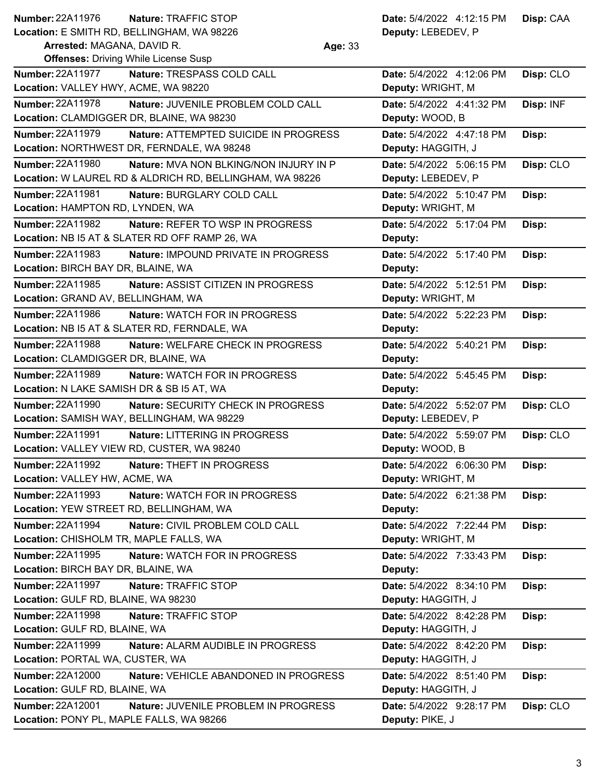| <b>Number: 22A11976</b>                                    | Nature: TRAFFIC STOP                                     |         | Date: 5/4/2022 4:12:15 PM                      | Disp: CAA |
|------------------------------------------------------------|----------------------------------------------------------|---------|------------------------------------------------|-----------|
|                                                            | Location: E SMITH RD, BELLINGHAM, WA 98226               |         | Deputy: LEBEDEV, P                             |           |
| Arrested: MAGANA, DAVID R.                                 |                                                          | Age: 33 |                                                |           |
|                                                            | <b>Offenses: Driving While License Susp</b>              |         |                                                |           |
| <b>Number: 22A11977</b>                                    | Nature: TRESPASS COLD CALL                               |         | Date: 5/4/2022 4:12:06 PM                      | Disp: CLO |
| Location: VALLEY HWY, ACME, WA 98220                       |                                                          |         | Deputy: WRIGHT, M                              |           |
| Number: 22A11978                                           | Nature: JUVENILE PROBLEM COLD CALL                       |         | Date: 5/4/2022 4:41:32 PM                      | Disp: INF |
|                                                            | Location: CLAMDIGGER DR, BLAINE, WA 98230                |         | Deputy: WOOD, B                                |           |
| Number: 22A11979                                           | Nature: ATTEMPTED SUICIDE IN PROGRESS                    |         | Date: 5/4/2022 4:47:18 PM                      | Disp:     |
|                                                            | Location: NORTHWEST DR, FERNDALE, WA 98248               |         | Deputy: HAGGITH, J                             |           |
| <b>Number: 22A11980</b>                                    | Nature: MVA NON BLKING/NON INJURY IN P                   |         | Date: 5/4/2022 5:06:15 PM                      | Disp: CLO |
|                                                            | Location: W LAUREL RD & ALDRICH RD, BELLINGHAM, WA 98226 |         | Deputy: LEBEDEV, P                             |           |
| Number: 22A11981                                           | Nature: BURGLARY COLD CALL                               |         | Date: 5/4/2022 5:10:47 PM                      | Disp:     |
| Location: HAMPTON RD, LYNDEN, WA                           |                                                          |         | Deputy: WRIGHT, M                              |           |
| <b>Number: 22A11982</b>                                    | Nature: REFER TO WSP IN PROGRESS                         |         | Date: 5/4/2022 5:17:04 PM                      | Disp:     |
|                                                            | Location: NB I5 AT & SLATER RD OFF RAMP 26, WA           |         | Deputy:                                        |           |
| <b>Number: 22A11983</b>                                    | Nature: IMPOUND PRIVATE IN PROGRESS                      |         | Date: 5/4/2022 5:17:40 PM                      | Disp:     |
| Location: BIRCH BAY DR, BLAINE, WA                         |                                                          |         | Deputy:                                        |           |
| <b>Number: 22A11985</b>                                    | Nature: ASSIST CITIZEN IN PROGRESS                       |         | Date: 5/4/2022 5:12:51 PM                      | Disp:     |
| Location: GRAND AV, BELLINGHAM, WA                         |                                                          |         | Deputy: WRIGHT, M                              |           |
| Number: 22A11986                                           | <b>Nature: WATCH FOR IN PROGRESS</b>                     |         | Date: 5/4/2022 5:22:23 PM                      | Disp:     |
|                                                            | Location: NB I5 AT & SLATER RD, FERNDALE, WA             |         | Deputy:                                        |           |
| <b>Number: 22A11988</b>                                    | Nature: WELFARE CHECK IN PROGRESS                        |         | Date: 5/4/2022 5:40:21 PM                      | Disp:     |
| Location: CLAMDIGGER DR, BLAINE, WA                        |                                                          |         | Deputy:                                        |           |
| <b>Number: 22A11989</b>                                    | Nature: WATCH FOR IN PROGRESS                            |         | Date: 5/4/2022 5:45:45 PM                      | Disp:     |
| Location: N LAKE SAMISH DR & SB I5 AT, WA                  |                                                          |         | Deputy:                                        |           |
| Number: 22A11990                                           | Nature: SECURITY CHECK IN PROGRESS                       |         | Date: 5/4/2022 5:52:07 PM                      | Disp: CLO |
|                                                            | Location: SAMISH WAY, BELLINGHAM, WA 98229               |         | Deputy: LEBEDEV, P                             |           |
| Number: 22A11991                                           | Nature: LITTERING IN PROGRESS                            |         | Date: 5/4/2022 5:59:07 PM                      | Disp: CLO |
|                                                            | Location: VALLEY VIEW RD, CUSTER, WA 98240               |         | Deputy: WOOD, B                                |           |
| Number: 22A11992                                           | Nature: THEFT IN PROGRESS                                |         | Date: 5/4/2022 6:06:30 PM                      | Disp:     |
| Location: VALLEY HW, ACME, WA                              |                                                          |         | Deputy: WRIGHT, M                              |           |
| Number: 22A11993                                           | Nature: WATCH FOR IN PROGRESS                            |         | Date: 5/4/2022 6:21:38 PM                      | Disp:     |
|                                                            | Location: YEW STREET RD, BELLINGHAM, WA                  |         | Deputy:                                        |           |
|                                                            |                                                          |         |                                                |           |
| Number: 22A11994<br>Location: CHISHOLM TR, MAPLE FALLS, WA | Nature: CIVIL PROBLEM COLD CALL                          |         | Date: 5/4/2022 7:22:44 PM<br>Deputy: WRIGHT, M | Disp:     |
|                                                            |                                                          |         |                                                |           |
| Number: 22A11995                                           | <b>Nature: WATCH FOR IN PROGRESS</b>                     |         | Date: 5/4/2022 7:33:43 PM                      | Disp:     |
| Location: BIRCH BAY DR, BLAINE, WA                         |                                                          |         | Deputy:                                        |           |
| Number: 22A11997                                           | Nature: TRAFFIC STOP                                     |         | Date: 5/4/2022 8:34:10 PM                      | Disp:     |
| Location: GULF RD, BLAINE, WA 98230                        |                                                          |         | Deputy: HAGGITH, J                             |           |
| <b>Number: 22A11998</b>                                    | Nature: TRAFFIC STOP                                     |         | Date: 5/4/2022 8:42:28 PM                      | Disp:     |
| Location: GULF RD, BLAINE, WA                              |                                                          |         | Deputy: HAGGITH, J                             |           |
| Number: 22A11999                                           | Nature: ALARM AUDIBLE IN PROGRESS                        |         | Date: 5/4/2022 8:42:20 PM                      | Disp:     |
| Location: PORTAL WA, CUSTER, WA                            |                                                          |         | Deputy: HAGGITH, J                             |           |
| Number: 22A12000                                           | Nature: VEHICLE ABANDONED IN PROGRESS                    |         | Date: 5/4/2022 8:51:40 PM                      | Disp:     |
| Location: GULF RD, BLAINE, WA                              |                                                          |         | Deputy: HAGGITH, J                             |           |
| <b>Number: 22A12001</b>                                    | Nature: JUVENILE PROBLEM IN PROGRESS                     |         | Date: 5/4/2022 9:28:17 PM                      | Disp: CLO |
| Location: PONY PL, MAPLE FALLS, WA 98266                   |                                                          |         | Deputy: PIKE, J                                |           |